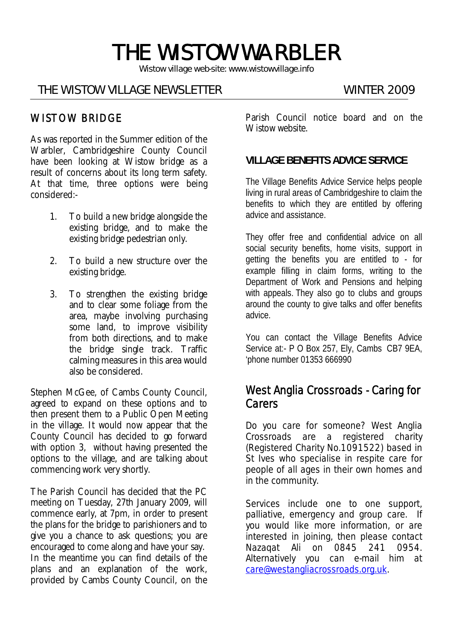# THE WISTOW WARBLER

*Wistow village web-site: www.wistowvillage.info* 

I

#### THE WISTOW VILLAGE NEWSLETTER WINTER 2009

#### WISTOW BRIDGE

As was reported in the Summer edition of the Warbler, Cambridgeshire County Council have been looking at Wistow bridge as a result of concerns about its long term safety. At that time, three options were being considered:-

- 1. To build a new bridge alongside the existing bridge, and to make the existing bridge pedestrian only.
- 2. To build a new structure over the existing bridge.
- 3. To strengthen the existing bridge and to clear some foliage from the area, maybe involving purchasing some land, to improve visibility from both directions, and to make the bridge single track. Traffic calming measures in this area would also be considered.

Stephen McGee, of Cambs County Council, agreed to expand on these options and to then present them to a Public Open Meeting in the village. It would now appear that the County Council has decided to go forward with option 3, without having presented the options to the village, and are talking about commencing work very shortly.

The Parish Council has decided that the PC meeting on Tuesday, 27th January 2009, will commence early, at 7pm, in order to present the plans for the bridge to parishioners and to give you a chance to ask questions; you are encouraged to come along and have your say. In the meantime you can find details of the plans and an explanation of the work, provided by Cambs County Council, on the

Parish Council notice board and on the Wistow website.

#### **VILLAGE BENEFITS ADVICE SERVICE**

The Village Benefits Advice Service helps people living in rural areas of Cambridgeshire to claim the benefits to which they are entitled by offering advice and assistance.

They offer free and confidential advice on all social security benefits, home visits, support in getting the benefits you are entitled to - for example filling in claim forms, writing to the Department of Work and Pensions and helping with appeals. They also go to clubs and groups around the county to give talks and offer benefits advice.

You can contact the Village Benefits Advice Service at:- P O Box 257, Ely, Cambs CB7 9EA, 'phone number 01353 666990

## West Anglia Crossroads - Caring for **Carers**

Do you care for someone? West Anglia Crossroads are a registered charity (Registered Charity No.1091522) based in St Ives who specialise in respite care for people of all ages in their own homes and in the community.

Services include one to one support, palliative, emergency and group care. If you would like more information, or are interested in joining, then please contact Nazaqat Ali on 0845 241 0954. Alternatively you can e-mail him at care@westangliacrossroads.org.uk.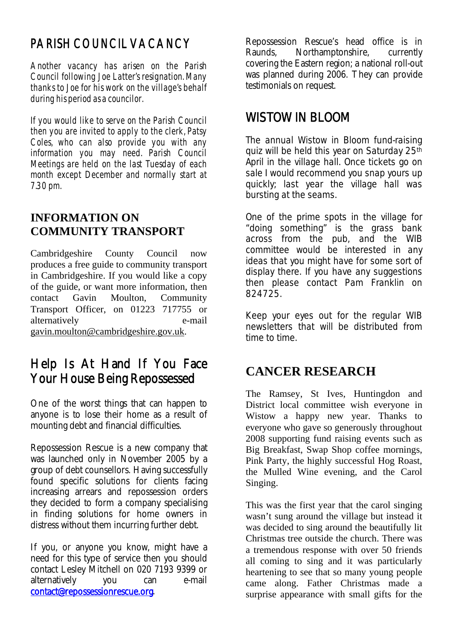# PARISH COUNCIL VACANCY

Another vacancy has arisen on the Parish Council following Joe Latter's resignation. Many thanks to Joe for his work on the village's behalf during his period as a councilor.

If you would like to serve on the Parish Council then you are invited to apply to the clerk, Patsy Coles, who can also provide you with any information you may need. Parish Council Meetings are held on the last Tuesday of each month except December and normally start at 7.30 pm.

# **INFORMATION ON COMMUNITY TRANSPORT**

Cambridgeshire County Council now produces a free guide to community transport in Cambridgeshire. If you would like a copy of the guide, or want more information, then contact Gavin Moulton, Community Transport Officer, on 01223 717755 or alternatively e-mail gavin.moulton@cambridgeshire.gov.uk.

# Help Is At Hand If You Face Your House Being Repossessed

One of the worst things that can happen to anyone is to lose their home as a result of mounting debt and financial difficulties.

Repossession Rescue is a new company that was launched only in November 2005 by a group of debt counsellors. Having successfully found specific solutions for clients facing increasing arrears and repossession orders they decided to form a company specialising in finding solutions for home owners in distress without them incurring further debt.

If you, or anyone you know, might have a need for this type of service then you should contact Lesley Mitchell on 020 7193 9399 or alternatively you can e-mail contact@repossessionrescue.org.

Repossession Rescue's head office is in Raunds, Northamptonshire, currently covering the Eastern region; a national roll-out was planned during 2006. They can provide testimonials on request.

# WISTOW IN BLOOM

The annual Wistow in Bloom fund-raising quiz will be held this year on Saturday 25th April in the village hall. Once tickets go on sale I would recommend you snap yours up quickly; last year the village hall was bursting at the seams.

One of the prime spots in the village for "doing something" is the grass bank across from the pub, and the WIB committee would be interested in any ideas that you might have for some sort of display there. If you have any suggestions then please contact Pam Franklin on 824725.

Keep your eyes out for the regular WIB newsletters that will be distributed from time to time.

# **CANCER RESEARCH**

The Ramsey, St Ives, Huntingdon and District local committee wish everyone in Wistow a happy new year. Thanks to everyone who gave so generously throughout 2008 supporting fund raising events such as Big Breakfast, Swap Shop coffee mornings, Pink Party, the highly successful Hog Roast, the Mulled Wine evening, and the Carol Singing.

This was the first year that the carol singing wasn't sung around the village but instead it was decided to sing around the beautifully lit Christmas tree outside the church. There was a tremendous response with over 50 friends all coming to sing and it was particularly heartening to see that so many young people came along. Father Christmas made a surprise appearance with small gifts for the